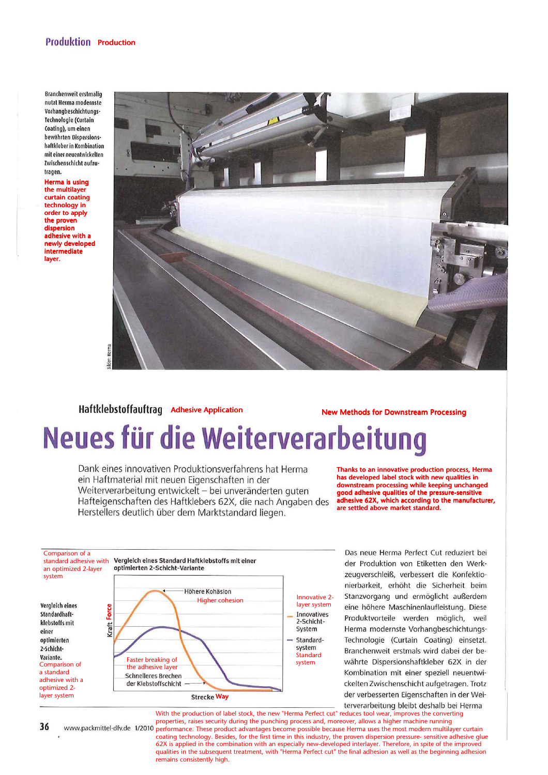### **Produktion Production**

**Branchenweit erstmalig** nutzt Herma modernste Vorhangbeschichtungs-Technologie (Curtain Coating), um einen bewährten Dispersionshaftkleber in Kombination mit einer neuentwickelten Zwischenschicht aufzutranen.

Herma is using the multilayer curtain coating technology in order to apply the proven dispersion adhesive with a newly developed intermediate layer.



# Haftklebstoffauftrag Adhesive Application New Methods for Downstream Processing<br>
Neues für die Weiterverarbeitung

Dank eines innovativen Produktionsverfahrens hat Herma ein Haftmaterial mit neuen Eigenschaften in der Weiterverarbeitung entwickelt - bei unveränderten guten Hafteigenschaften des Haftklebers 62X, die nach Angaben des Herstellers deutlich über dem Marktstandard liegen.

Thanks to an innovative production process, Herma has developed label stock with new qualities in downstream processing while keeping unchanged good adhesive qualities of the pressure-sensitive adhesive 62X, which according to the manufacturer, are settled above market standard.



Das neue Herma Perfect Cut reduziert bei der Produktion von Etiketten den Werkzeugverschleiß, verbessert die Konfektionierbarkeit, erhöht die Sicherheit beim Stanzvorgang und ermöglicht außerdem eine höhere Maschinenlaufleistung. Diese Produktvorteile werden möglich, weil Herma modernste Vorhangbeschichtungs-Technologie (Curtain Coating) einsetzt. Branchenweit erstmals wird dabei der bewährte Dispersionshaftkleber 62X in der Kombination mit einer speziell neuentwickelten Zwischenschicht aufgetragen. Trotz der verbesserten Eigenschaften in der Weiterverarbeitung bleibt deshalb bei Herma

With the production of label stock, the new "Herma Perfect cut" reduces tool wear, improves the converting properties, raises security during the punching process and, moreover, allows a higher machine running www.packmittel-dfv.de 1/2010 performance. These product advantages become possible because Herma uses the most modern multilayer curtain coating technology. Besides, for the first time in this industry, the proven dispersion pressure- sensitive adhesive glue 62X is applied in the combination with an especially new-developed interlayer. Therefore, in spite of the improved qualities in the subsequent treatment, with "Herma Perfect cut" the final adhesion as well as the beginning adhesion remains consistently high.

36